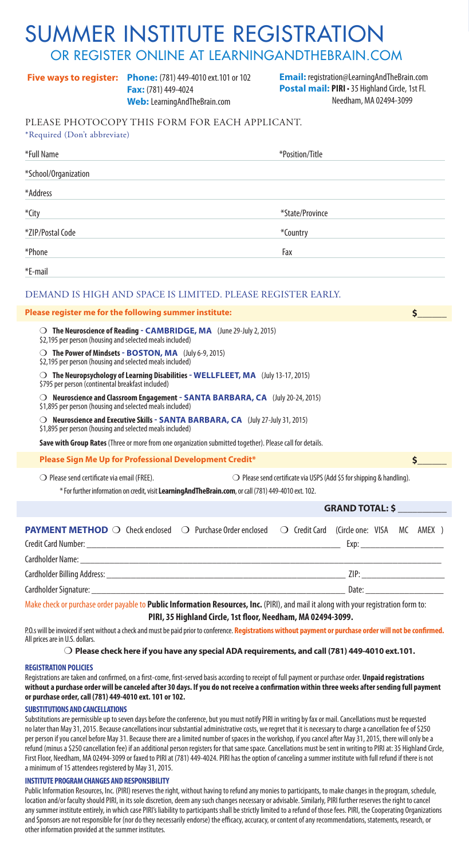# SUMMER INSTITUTE REGISTRATION

#### OR REGISTER ONLINE AT LEARNINGANDTHEBRAIN.COM

**Fax:** (781) 449-4024 **Web:** LearningAndTheBrain.com

**Phone:** (781) 449-4010 ext.101 or 102 **Five ways to register: Email:** registration@LearningAndTheBrain.com **Postal mail: PIRI** • 35 Highland Circle, 1st Fl. Needham, MA 02494-3099

#### PLEASE PHOTOCOPY THIS FORM FOR EACH APPLICANT. \*Required (Don't abbreviate)

| Required (Don't abbit viale)                                                                                                                                                                                                                                                                                                                                                                                                                                                                                                                                                                                                                                                                                                                                                                                                                                                                                 |                                                                                |
|--------------------------------------------------------------------------------------------------------------------------------------------------------------------------------------------------------------------------------------------------------------------------------------------------------------------------------------------------------------------------------------------------------------------------------------------------------------------------------------------------------------------------------------------------------------------------------------------------------------------------------------------------------------------------------------------------------------------------------------------------------------------------------------------------------------------------------------------------------------------------------------------------------------|--------------------------------------------------------------------------------|
| *Full Name                                                                                                                                                                                                                                                                                                                                                                                                                                                                                                                                                                                                                                                                                                                                                                                                                                                                                                   | *Position/Title                                                                |
| *School/Organization                                                                                                                                                                                                                                                                                                                                                                                                                                                                                                                                                                                                                                                                                                                                                                                                                                                                                         |                                                                                |
| *Address                                                                                                                                                                                                                                                                                                                                                                                                                                                                                                                                                                                                                                                                                                                                                                                                                                                                                                     |                                                                                |
| *City                                                                                                                                                                                                                                                                                                                                                                                                                                                                                                                                                                                                                                                                                                                                                                                                                                                                                                        | *State/Province                                                                |
| *ZIP/Postal Code                                                                                                                                                                                                                                                                                                                                                                                                                                                                                                                                                                                                                                                                                                                                                                                                                                                                                             | *Country                                                                       |
| *Phone                                                                                                                                                                                                                                                                                                                                                                                                                                                                                                                                                                                                                                                                                                                                                                                                                                                                                                       | Fax                                                                            |
| *E-mail                                                                                                                                                                                                                                                                                                                                                                                                                                                                                                                                                                                                                                                                                                                                                                                                                                                                                                      |                                                                                |
| DEMAND IS HIGH AND SPACE IS LIMITED. PLEASE REGISTER EARLY.                                                                                                                                                                                                                                                                                                                                                                                                                                                                                                                                                                                                                                                                                                                                                                                                                                                  |                                                                                |
| Please register me for the following summer institute:                                                                                                                                                                                                                                                                                                                                                                                                                                                                                                                                                                                                                                                                                                                                                                                                                                                       | \$.                                                                            |
| $\bigcirc$ The Neuroscience of Reading - CAMBRIDGE, MA (June 29-July 2, 2015)<br>\$2,195 per person (housing and selected meals included)<br>○ The Power of Mindsets - BOSTON, MA (July 6-9, 2015)<br>\$2,195 per person (housing and selected meals included)<br>$\bigcirc$ The Neuropsychology of Learning Disabilities - WELLFLEET, MA (July 13-17, 2015)<br>\$795 per person (continental breakfast included)<br>$\bigcirc$ Neuroscience and Classroom Engagement - SANTA BARBARA, CA (July 20-24, 2015)<br>\$1,895 per person (housing and selected meals included)<br>$\bigcirc$ Neuroscience and Executive Skills - SANTA BARBARA, CA (July 27-July 31, 2015)<br>\$1,895 per person (housing and selected meals included)<br>Save with Group Rates (Three or more from one organization submitted together). Please call for details.<br>Please Sign Me Up for Professional Development Credit*<br>Ś. |                                                                                |
| $\bigcirc$ Please send certificate via email (FREE).<br>* For further information on credit, visit LearningAndTheBrain.com, or call (781) 449-4010 ext. 102.                                                                                                                                                                                                                                                                                                                                                                                                                                                                                                                                                                                                                                                                                                                                                 | $\bigcirc$ Please send certificate via USPS (Add \$5 for shipping & handling). |
|                                                                                                                                                                                                                                                                                                                                                                                                                                                                                                                                                                                                                                                                                                                                                                                                                                                                                                              | <b>GRAND TOTAL: \$</b>                                                         |
| <b>PAYMENT METHOD</b> $\bigcirc$ Check enclosed $\bigcirc$ Purchase Order enclosed                                                                                                                                                                                                                                                                                                                                                                                                                                                                                                                                                                                                                                                                                                                                                                                                                           | $\bigcirc$ Credit Card (Circle one: VISA<br>AMEX )<br>MC<br>Exp:               |
|                                                                                                                                                                                                                                                                                                                                                                                                                                                                                                                                                                                                                                                                                                                                                                                                                                                                                                              |                                                                                |

Make check or purchase order payable to **Public Information Resources, Inc.** (PIRI), and mail it along with your registration form to: **PIRI, 35 Highland Circle, 1st floor, Needham, MA 02494-3099.** 

Cardholder Billing Address: \_\_\_\_\_\_\_\_\_\_\_\_\_\_\_\_\_\_\_\_\_\_\_\_\_\_\_\_\_\_\_\_\_\_\_\_\_\_\_\_\_\_\_\_\_\_\_\_\_ ZIP: \_\_\_\_\_\_\_\_\_\_\_\_\_\_\_\_\_ Cardholder Signature: <u>Date:</u> **Example 2018** 

P.O.s will be invoiced if sent without a check and must be paid prior to conference. **Registrations without payment or purchase order will not be confirmed.** All prices are in U.S. dollars.

#### m **Please check here if you have any special ADA requirements, and call (781) 449-4010 ext.101.**

#### **REGISTRATION POLICIES**

Registrations are taken and confirmed, on a first-come, first-served basis according to receipt of full payment or purchase order. **Unpaid registrations without a purchase order will be canceled after 30 days. If you do not receive a confirmation within three weeks after sending full payment or purchase order, call (781) 449-4010 ext. 101 or 102.**

#### **SUBSTITUTIONS AND CANCELLATIONS**

Substitutions are permissible up to seven days before the conference, but you must notify PIRI in writing by fax or mail. Cancellations must be requested no later than May 31, 2015. Because cancellations incur substantial administrative costs, we regret that it is necessary to charge a cancellation fee of \$250 per person if you cancel before May 31. Because there are a limited number of spaces in the workshop, if you cancel after May 31, 2015, there will only be a refund (minus a \$250 cancellation fee) if an additional person registers for that same space. Cancellations must be sent in writing to PIRI at: 35 Highland Circle, First Floor, Needham, MA 02494-3099 or faxed to PIRI at (781) 449-4024. PIRI has the option of canceling a summer institute with full refund if there is not a minimum of 15 attendees registered by May 31, 2015.

#### **INSTITUTE PROGRAM CHANGES AND RESPONSIBILITY**

Public Information Resources, Inc. (PIRI) reserves the right, without having to refund any monies to participants, to make changes in the program, schedule, location and/or faculty should PIRI, in its sole discretion, deem any such changes necessary or advisable. Similarly, PIRI further reserves the right to cancel any summer institute entirely, in which case PIRI's liability to participants shall be strictly limited to a refund of those fees. PIRI, the Cooperating Organizations and Sponsors are not responsible for (nor do they necessarily endorse) the efficacy, accuracy, or content of any recommendations, statements, research, or other information provided at the summer institutes.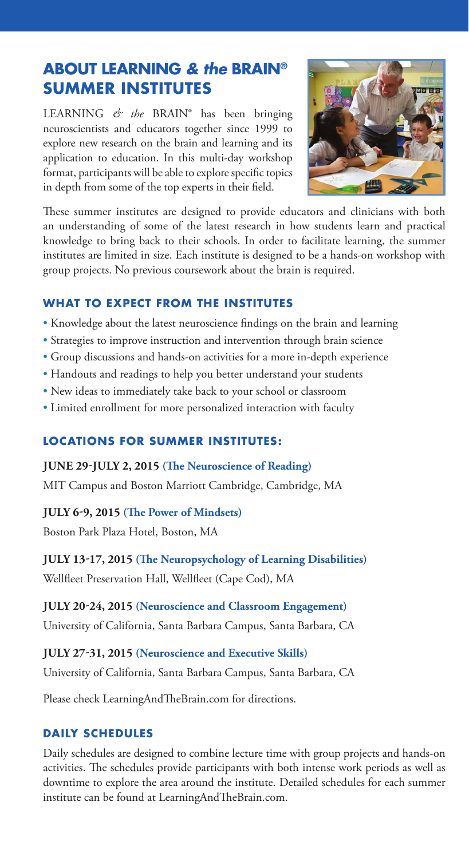#### **ABOUT LEARNING** *& the* **BRAIN® SUMMER INSTITUTES**

LEARNING *& the* BRAIN® has been bringing neuroscientists and educators together since 1999 to explore new research on the brain and learning and its application to education. In this multi-day workshop format, participants will be able to explore specific topics in depth from some of the top experts in their field.



These summer institutes are designed to provide educators and clinicians with both an understanding of some of the latest research in how students learn and practical knowledge to bring back to their schools. In order to facilitate learning, the summer institutes are limited in size. Each institute is designed to be a hands-on workshop with group projects. No previous coursework about the brain is required.

#### **WHAT TO EXPECT FROM THE INSTITUTES**

- Knowledge about the latest neuroscience findings on the brain and learning
- Strategies to improve instruction and intervention through brain science
- Group discussions and hands-on activities for a more in-depth experience
- Handouts and readings to help you better understand your students
- New ideas to immediately take back to your school or classroom
- Limited enrollment for more personalized interaction with faculty

#### **LOCATIONS FOR SUMMER INSTITUTES :**

#### **JUNE 29-JULY 2, 2015 (The Neuroscience of Reading)**

MIT Campus and Boston Marriott Cambridge, Cambridge, MA

#### **JULY 6-9, 2015 (The Power of Mindsets)**

Boston Park Plaza Hotel, Boston, MA

#### **JULY 13-17, 2015 (The Neuropsychology of Learning Disabilities)**

Wellfleet Preservation Hall, Wellfleet (Cape Cod), MA

#### **JULY 20-24, 2015 (Neuroscience and Classroom Engagement)**

University of California, Santa Barbara Campus, Santa Barbara, CA

#### **JULY 27-31, 2015 (Neuroscience and Executive Skills)**

University of California, Santa Barbara Campus, Santa Barbara, CA

Please check LearningAndTheBrain.com for directions.

#### **DAILY SCHEDULES**

Daily schedules are designed to combine lecture time with group projects and hands-on activities. The schedules provide participants with both intense work periods as well as downtime to explore the area around the institute. Detailed schedules for each summer institute can be found at LearningAndTheBrain.com.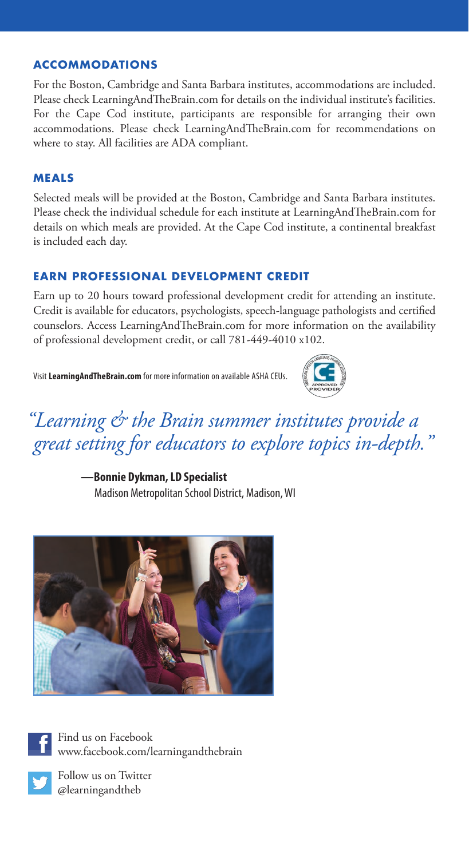#### **ACCOMMODATIONS**

For the Boston, Cambridge and Santa Barbara institutes, accommodations are included. Please check LearningAndTheBrain.com for details on the individual institute's facilities. For the Cape Cod institute, participants are responsible for arranging their own accommodations. Please check LearningAndTheBrain.com for recommendations on where to stay. All facilities are ADA compliant.

#### **MEALS**

Selected meals will be provided at the Boston, Cambridge and Santa Barbara institutes. Please check the individual schedule for each institute at LearningAndTheBrain.com for details on which meals are provided. At the Cape Cod institute, a continental breakfast is included each day.

#### **EARN PROFESSIONAL DEVELOPMENT CREDIT**

Earn up to 20 hours toward professional development credit for attending an institute. Credit is available for educators, psychologists, speech-language pathologists and certified counselors. Access LearningAndTheBrain.com for more information on the availability of professional development credit, or call 781-449-4010 x102.

Visit **LearningAndTheBrain.com** for more information on available ASHA CEUs.



### *"Learning & the Brain summer institutes provide a great setting for educators to explore topics in-depth."*

 **—Bonnie Dykman, LD Specialist**

Madison Metropolitan School District, Madison, WI



Find us on Facebook www.facebook.com/learningandthebrain



Follow us on Twitter @learningandtheb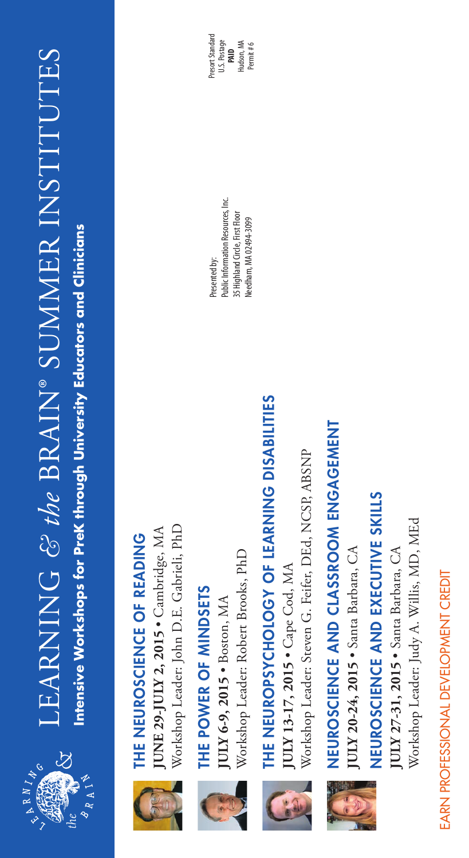

# LEARNING & the BRAIN® SUMMER INSTITUTES LEARNING *& the* BRAIN® SUMMER INSTITUTES Intensive Workshops for PreK through University Educators and Clinicians **Intensive Workshops for PreK through University Educators and Clinicians**



# JUNE 29-JULY 2, 2015 . Cambridge, MA THE NEUROSCIENCE OF READING THE NEUROSCIENCE OF READING

Workshop Leader: John D.E. Gabrieli, PhD Workshop Leader: John D.E. Gabrieli, PhD • Cambridge, MA **JUNE 29-JULY 2, 2015** 



# THE POWER OF MINDSETS THE POWER OF MINDSETS

Workshop Leader: Robert Brooks, PhD Workshop Leader: Robert Brooks, PhD JULY 6-9, 2015 . Boston, MA **JULY 6-9, 2015** • Boston, MA



# THE NEUROPSYCHOLOGY OF LEARNING DISABILITIES THE NEUROPSYCHOLOGY OF LEARNING DISABILITIES

Workshop Leader: Steven G. Feifer, DEd, NCSP, ABSNP Workshop Leader: Steven G. Feifer, DEd, NCSP, ABSNP  $[ULY 13-17, 2015 \cdot \text{Case Cod}, \text{MA}]$ **JULY 13-17, 2015** • Cape Cod, MA



# NEUROSCIENCE AND CLASSROOM ENGAGEMENT NEUROSCIENCE AND CLASSROOM ENGAGEMENT

JULY 20-24, 2015 • Santa Barbara, CA • Santa Barbara, CA**JULY 20-24, 2015**

NEUROSCIENCE AND EXECUTIVE SKILLS NEUROSCIENCE AND EXECUTIVE SKILLS

Workshop Leader: Judy A. Willis, MD, MEd Workshop Leader: Judy A. Willis, MD, MEd **JULY 27-31, 2015 •** Santa Barbara, CA **JULY 27-31, 2015** • Santa Barbara, CA

EARN PROFESSIONAL DEVELOPMENT CREDIT

EARN PROFESSIONAL DEVELOPMENT CREDIT

**Public Information Resources, Inc.** Public Information Resources, Inc. 35 Highland Circle, First Floor 35 Highland Circle, First Floor Needham, MA 02494-3099 Needham, MA 02494-3099 Presented by:

Presort Standard Presort Standard U.S. Postage Hudson, MA Permit #6 **PAID**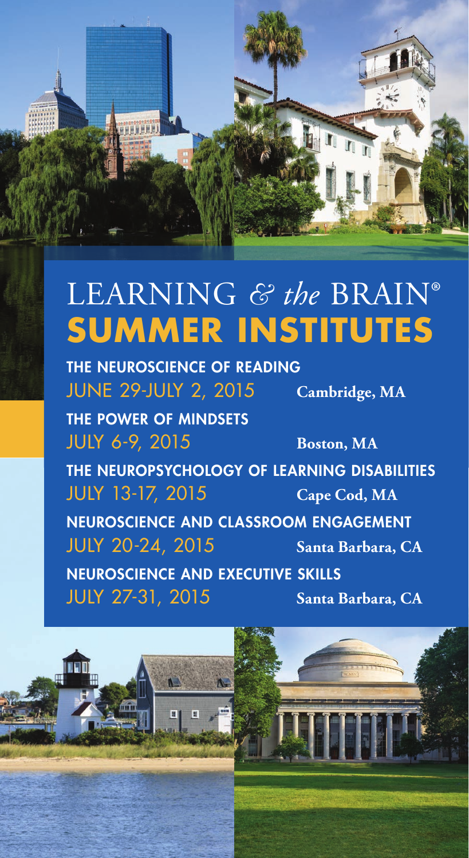

# LEARNING *& the* BRAIN® **SUMMER INSTITUTES**

THE NEUROSCIENCE OF READING JUNE 29-JULY 2, 2015 **Cambridge, MA**

 $\overline{u}$ 

THE POWER OF MINDSETS JULY 6-9, 2015 **Boston, MA** THE NEUROPSYCHOLOGY OF LEARNING DISABILITIES JULY 13-17, 2015 **Cape Cod, MA** NEUROSCIENCE AND CLASSROOM ENGAGEMENT JULY 20-24, 2015 **Santa Barbara, CA** NEUROSCIENCE AND EXECUTIVE SKILLS JULY 27-31, 2015 **Santa Barbara, CA**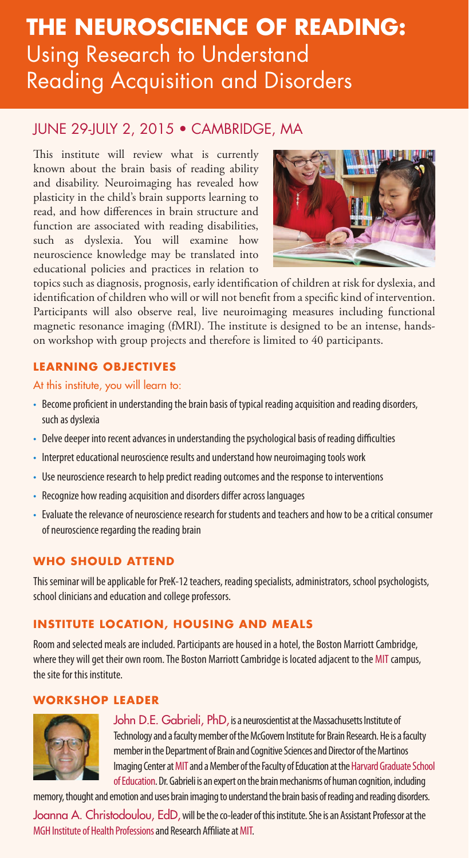## Using Research to Understand Reading Acquisition and Disorders **THE NEUROSCIENCE OF READING:**

#### JUNE 29-JULY 2, 2015 • CAMBRIDGE, MA

This institute will review what is currently known about the brain basis of reading ability and disability. Neuroimaging has revealed how plasticity in the child's brain supports learning to read, and how differences in brain structure and function are associated with reading disabilities, such as dyslexia. You will examine how neuroscience knowledge may be translated into educational policies and practices in relation to



topics such as diagnosis, prognosis, early identification of children at risk for dyslexia, and identification of children who will or will not benefit from a specific kind of intervention. Participants will also observe real, live neuroimaging measures including functional magnetic resonance imaging (fMRI). The institute is designed to be an intense, handson workshop with group projects and therefore is limited to 40 participants.

#### **LEARNING OBJECTIVES**

At this institute, you will learn to:

- Become proficient in understanding the brain basis of typical reading acquisition and reading disorders, such as dyslexia
- Delve deeper into recent advances in understanding the psychological basis of reading difficulties
- Interpret educational neuroscience results and understand how neuroimaging tools work
- Use neuroscience research to help predict reading outcomes and the response to interventions
- Recognize how reading acquisition and disorders differ across languages
- Evaluate the relevance of neuroscience research for students and teachers and how to be a critical consumer of neuroscience regarding the reading brain

#### **WHO SHOULD ATTEND**

This seminar will be applicable for PreK-12 teachers, reading specialists, administrators, school psychologists, school clinicians and education and college professors.

#### **INSTITUTE LOCATION, HOUSING AND MEALS**

Room and selected meals are included. Participants are housed in a hotel, the Boston Marriott Cambridge, where they will get their own room. The Boston Marriott Cambridge is located adjacent to the MIT campus, the site for this institute.

#### **WORKSHOP LEADER**



John D.E. Gabrieli, PhD, is a neuroscientist at the Massachusetts Institute of Technology and a faculty member of the McGovern Institute for Brain Research. He is a faculty member in the Department of Brain and Cognitive Sciences and Director of the Martinos Imaging Center at MIT and a Member of the Faculty of Education at the Harvard Graduate School of Education. Dr. Gabrieli is an expert on the brain mechanisms of human cognition, including

memory, thought and emotion and uses brain imaging to understand the brain basis of reading and reading disorders.

Joanna A. Christodoulou, EdD, will be the co-leader of this institute. She is an Assistant Professor at the MGH Institute of Health Professions and Research Affiliate at MIT.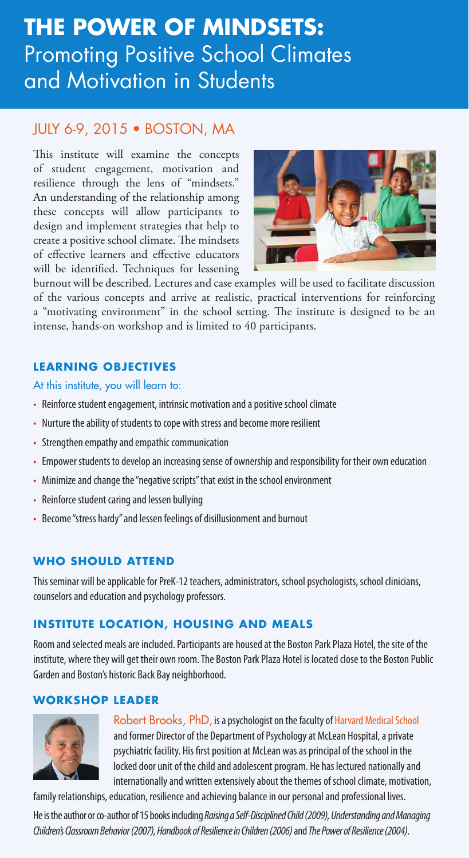## **THE POWER OF MINDSETS:** Promoting Positive School Climates and Motivation in Students

#### JULY 6-9, 2015 • BOSTON, MA

This institute will examine the concepts of student engagement, motivation and resilience through the lens of "mindsets." An understanding of the relationship among these concepts will allow participants to design and implement strategies that help to create a positive school climate. The mindsets of effective learners and effective educators will be identified. Techniques for lessening



burnout will be described. Lectures and case examples will be used to facilitate discussion of the various concepts and arrive at realistic, practical interventions for reinforcing a "motivating environment" in the school setting. The institute is designed to be an intense, hands-on workshop and is limited to 40 participants.

#### **LEARNING OBJECTIVES**

At this institute, you will learn to:

- Reinforce student engagement, intrinsic motivation and a positive school climate
- Nurture the ability of students to cope with stress and become more resilient
- Strengthen empathy and empathic communication
- Empower students to develop an increasing sense of ownership and responsibility for their own education
- Minimize and change the "negative scripts" that exist in the school environment
- Reinforce student caring and lessen bullying
- Become "stress hardy" and lessen feelings of disillusionment and burnout

#### **WHO SHOULD ATTEND**

This seminar will be applicable for PreK-12 teachers, administrators, school psychologists, school clinicians, counselors and education and psychology professors.

#### **INSTITUTE LOCATION, HOUSING AND MEALS**

Room and selected meals are included. Participants are housed at the Boston Park Plaza Hotel, the site of the institute, where they will get their own room. The Boston Park Plaza Hotel is located close to the Boston Public Garden and Boston's historic Back Bay neighborhood.

#### **WORKSHOP LEADER**



Robert Brooks, PhD, is a psychologist on the faculty of Harvard Medical School and former Director of the Department of Psychology at McLean Hospital, a private psychiatric facility. His first position at McLean was as principal of the school in the locked door unit of the child and adolescent program. He has lectured nationally and internationally and written extensively about the themes of school climate, motivation,

family relationships, education, resilience and achieving balance in our personal and professional lives.

He is the author or co-author of 15 books including *Raising a Self-Disciplined Child (2009), Understanding and Managing Children's Classroom Behavior (2007), Handbook of Resilience in Children (2006)* and *The Power of Resilience (2004)*.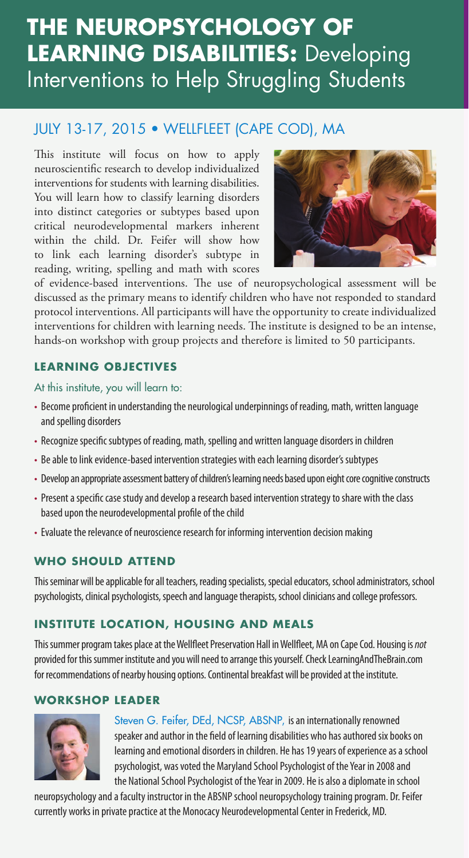# **THE NEUROPSYCHOLOGY OF LEARNING DISABILITIES:** Developing Interventions to Help Struggling Students

#### JULY 13-17, 2015 • WELLFLEET (CAPE COD), MA

This institute will focus on how to apply neuroscientific research to develop individualized interventions for students with learning disabilities. You will learn how to classify learning disorders into distinct categories or subtypes based upon critical neurodevelopmental markers inherent within the child. Dr. Feifer will show how to link each learning disorder's subtype in reading, writing, spelling and math with scores



of evidence-based interventions. The use of neuropsychological assessment will be discussed as the primary means to identify children who have not responded to standard protocol interventions. All participants will have the opportunity to create individualized interventions for children with learning needs. The institute is designed to be an intense, hands-on workshop with group projects and therefore is limited to 50 participants.

#### **LEARNING OBJECTIVES**

At this institute, you will learn to:

- Become proficient in understanding the neurological underpinnings of reading, math, written language and spelling disorders
- Recognize specific subtypes of reading, math, spelling and written language disorders in children
- Be able to link evidence-based intervention strategies with each learning disorder's subtypes
- Develop an appropriate assessment battery of children's learning needs based upon eight core cognitive constructs
- Present a specific case study and develop a research based intervention strategy to share with the class based upon the neurodevelopmental profile of the child
- Evaluate the relevance of neuroscience research for informing intervention decision making

#### **WHO SHOULD ATTEND**

This seminar will be applicable for all teachers, reading specialists, special educators, school administrators, school psychologists, clinical psychologists, speech and language therapists, school clinicians and college professors.

#### **INSTITUTE LOCATION, HOUSING AND MEALS**

This summer program takes place at the Wellfleet Preservation Hall in Wellfleet, MA on Cape Cod. Housing is *not*  provided for this summer institute and you will need to arrange this yourself. Check LearningAndTheBrain.com for recommendations of nearby housing options. Continental breakfast will be provided at the institute.

#### **WORKSHOP LEADER**



Steven G. Feifer, DEd, NCSP, ABSNP, is an internationally renowned speaker and author in the field of learning disabilities who has authored six books on learning and emotional disorders in children. He has 19 years of experience as a school psychologist, was voted the Maryland School Psychologist of the Year in 2008 and the National School Psychologist of the Year in 2009. He is also a diplomate in school

neuropsychology and a faculty instructor in the ABSNP school neuropsychology training program. Dr. Feifer currently works in private practice at the Monocacy Neurodevelopmental Center in Frederick, MD.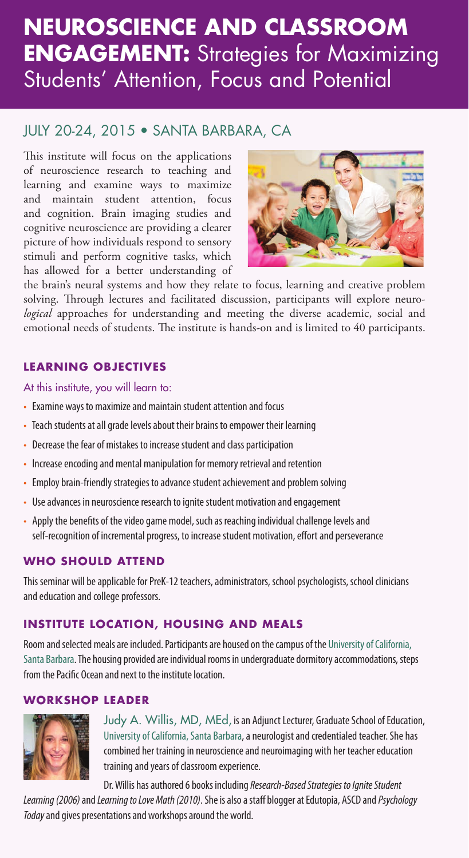## **NEUROSCIENCE AND CLASSROOM ENGAGEMENT:** Strategies for Maximizing Students' Attention, Focus and Potential

#### JULY 20-24, 2015 • SANTA BARBARA, CA

This institute will focus on the applications of neuroscience research to teaching and learning and examine ways to maximize and maintain student attention, focus and cognition. Brain imaging studies and cognitive neuroscience are providing a clearer picture of how individuals respond to sensory stimuli and perform cognitive tasks, which has allowed for a better understanding of



the brain's neural systems and how they relate to focus, learning and creative problem solving. Through lectures and facilitated discussion, participants will explore neuro*logical* approaches for understanding and meeting the diverse academic, social and emotional needs of students. The institute is hands-on and is limited to 40 participants.

#### **LEARNING OBJECTIVES**

At this institute, you will learn to:

- Examine ways to maximize and maintain student attention and focus
- Teach students at all grade levels about their brains to empower their learning
- Decrease the fear of mistakes to increase student and class participation
- Increase encoding and mental manipulation for memory retrieval and retention
- Employ brain-friendly strategies to advance student achievement and problem solving
- Use advances in neuroscience research to ignite student motivation and engagement
- Apply the benefits of the video game model, such as reaching individual challenge levels and self-recognition of incremental progress, to increase student motivation, effort and perseverance

#### **WHO SHOULD ATTEND**

This seminar will be applicable for PreK-12 teachers, administrators, school psychologists, school clinicians and education and college professors.

#### **INSTITUTE LOCATION, HOUSING AND MEALS**

Room and selected meals are included. Participants are housed on the campus of the University of California, Santa Barbara. The housing provided are individual rooms in undergraduate dormitory accommodations, steps from the Pacific Ocean and next to the institute location.

#### **WORKSHOP LEADER**



Judy A. Willis, MD, MEd, is an Adjunct Lecturer, Graduate School of Education, University of California, Santa Barbara, a neurologist and credentialed teacher. She has combined her training in neuroscience and neuroimaging with her teacher education training and years of classroom experience.

Dr. Willis has authored 6 books including *Research-Based Strategies to Ignite Student Learning (2006)* and *Learning to Love Math (2010)*. She is also a staff blogger at Edutopia, ASCD and *Psychology Today* and gives presentations and workshops around the world.